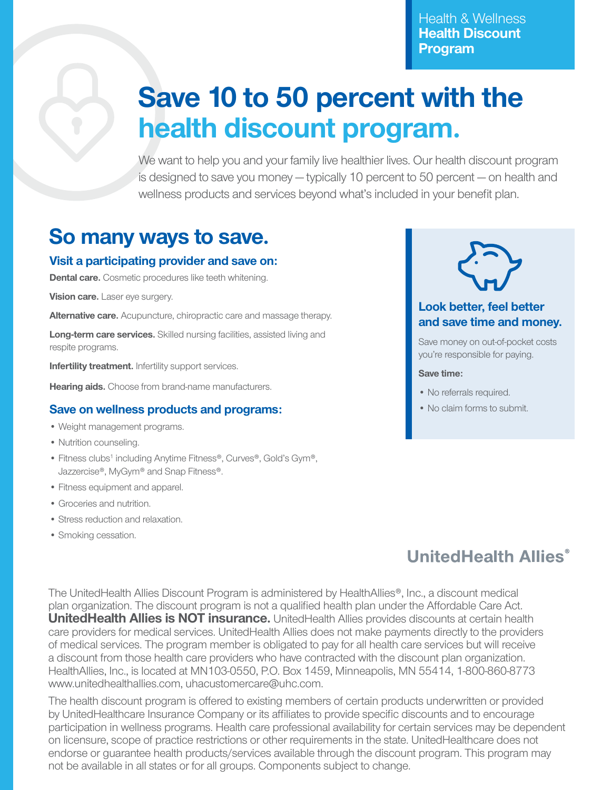Health & Wellness **Health Discount Program**

# **Save 10 to 50 percent with the health discount program.**

We want to help you and your family live healthier lives. Our health discount program is designed to save you money — typically 10 percent to 50 percent — on health and wellness products and services beyond what's included in your benefit plan.

## **So many ways to save.**

#### **Visit a participating provider and save on:**

**Dental care.** Cosmetic procedures like teeth whitening.

**Vision care.** Laser eye surgery.

**Alternative care.** Acupuncture, chiropractic care and massage therapy.

**Long-term care services.** Skilled nursing facilities, assisted living and respite programs.

**Infertility treatment.** Infertility support services.

**Hearing aids.** Choose from brand-name manufacturers.

#### **Save on wellness products and programs:**

- Weight management programs.
- Nutrition counseling.
- Fitness clubs<sup>1</sup> including Anytime Fitness®, Curves®, Gold's Gym®, Jazzercise®, MyGym® and Snap Fitness®.
- Fitness equipment and apparel.
- Groceries and nutrition.
- Stress reduction and relaxation.
- Smoking cessation.



### **Look better, feel better and save time and money.**

Save money on out-of-pocket costs you're responsible for paying.

#### **Save time:**

- No referrals required.
- No claim forms to submit.

## **UnitedHealth Allies®**

The UnitedHealth Allies Discount Program is administered by HealthAllies®, Inc., a discount medical plan organization. The discount program is not a qualified health plan under the Affordable Care Act. **UnitedHealth Allies is NOT insurance.** UnitedHealth Allies provides discounts at certain health care providers for medical services. UnitedHealth Allies does not make payments directly to the providers of medical services. The program member is obligated to pay for all health care services but will receive a discount from those health care providers who have contracted with the discount plan organization. HealthAllies, Inc., is located at MN103-0550, P.O. Box 1459, Minneapolis, MN 55414, 1-800-860-8773 www.unitedhealthallies.com, uhacustomercare@uhc.com.

The health discount program is offered to existing members of certain products underwritten or provided by UnitedHealthcare Insurance Company or its affiliates to provide specific discounts and to encourage participation in wellness programs. Health care professional availability for certain services may be dependent on licensure, scope of practice restrictions or other requirements in the state. UnitedHealthcare does not endorse or guarantee health products/services available through the discount program. This program may not be available in all states or for all groups. Components subject to change.